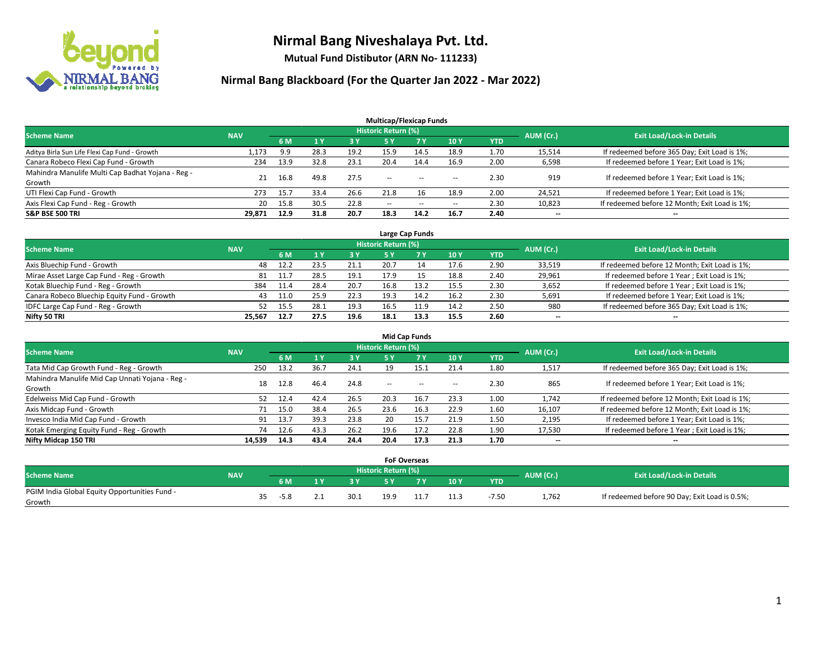

**Mutual Fund Distibutor (ARN No- 111233)**

| <b>Multicap/Flexicap Funds</b>                    |            |      |      |      |                          |           |                          |            |                          |                                               |  |  |  |
|---------------------------------------------------|------------|------|------|------|--------------------------|-----------|--------------------------|------------|--------------------------|-----------------------------------------------|--|--|--|
| <b>Scheme Name</b>                                | <b>NAV</b> |      |      |      | Historic Return (%)      |           |                          |            | AUM (Cr.)                | <b>Exit Load/Lock-in Details</b>              |  |  |  |
|                                                   |            | 6 M  |      | 3 Y  | <b>5 Y</b>               | <b>7Y</b> | <b>10Y</b>               | <b>YTD</b> |                          |                                               |  |  |  |
| Aditya Birla Sun Life Flexi Cap Fund - Growth     | 1,173      | 9.9  | 28.3 | 19.2 | 15.9                     | 14.5      | 18.9                     | 1.70       | 15,514                   | If redeemed before 365 Day; Exit Load is 1%;  |  |  |  |
| Canara Robeco Flexi Cap Fund - Growth             | 234        | 13.9 | 32.8 | 23.1 | 20.4                     | 14.4      | 16.9                     | 2.00       | 6,598                    | If redeemed before 1 Year; Exit Load is 1%;   |  |  |  |
| Mahindra Manulife Multi Cap Badhat Yojana - Reg - | 21         | 16.8 | 49.8 | 27.5 | --                       | $-$       | --                       | 2.30       | 919                      | If redeemed before 1 Year; Exit Load is 1%;   |  |  |  |
| Growth                                            |            |      |      |      |                          |           |                          |            |                          |                                               |  |  |  |
| UTI Flexi Cap Fund - Growth                       | 273        | 15.7 | 33.4 | 26.6 | 21.8                     | 16        | 18.9                     | 2.00       | 24,521                   | If redeemed before 1 Year; Exit Load is 1%;   |  |  |  |
| Axis Flexi Cap Fund - Reg - Growth                | 20         | 15.8 | 30.5 | 22.8 | $\overline{\phantom{m}}$ | $\sim$    | $\overline{\phantom{a}}$ | 2.30       | 10,823                   | If redeemed before 12 Month; Exit Load is 1%; |  |  |  |
| <b>S&amp;P BSE 500 TRI</b>                        | 29,871     | 12.9 | 31.8 | 20.7 | 18.3                     | 14.2      | 16.7                     | 2.40       | $\overline{\phantom{a}}$ | $\overline{\phantom{a}}$                      |  |  |  |

| Large Cap Funds                             |            |      |      |      |                            |      |      |            |           |                                               |  |  |  |
|---------------------------------------------|------------|------|------|------|----------------------------|------|------|------------|-----------|-----------------------------------------------|--|--|--|
| <b>Scheme Name</b>                          | <b>NAV</b> |      |      |      | <b>Historic Return (%)</b> |      |      |            | AUM (Cr.) | <b>Exit Load/Lock-in Details</b>              |  |  |  |
|                                             |            | 6 M  |      | 3 Y  |                            |      | 10Y  | <b>YTD</b> |           |                                               |  |  |  |
| Axis Bluechip Fund - Growth                 | 48         | 12.2 | 23.5 | 21.1 | 20.7                       | 14   | 17.6 | 2.90       | 33,519    | If redeemed before 12 Month; Exit Load is 1%; |  |  |  |
| Mirae Asset Large Cap Fund - Reg - Growth   | 81         | 11.  | 28.5 | 19.1 | 17.9                       |      | 18.8 | 2.40       | 29,961    | If redeemed before 1 Year; Exit Load is 1%;   |  |  |  |
| Kotak Bluechip Fund - Reg - Growth          | 384        | 11.4 | 28.4 | 20.7 | 16.8                       | 13.2 | 15.5 | 2.30       | 3,652     | If redeemed before 1 Year; Exit Load is 1%;   |  |  |  |
| Canara Robeco Bluechip Equity Fund - Growth | 43         | 11.0 | 25.9 | 22.3 | 19.3                       | 14.2 | 16.2 | 2.30       | 5,691     | If redeemed before 1 Year; Exit Load is 1%;   |  |  |  |
| IDFC Large Cap Fund - Reg - Growth          | 52         | 15.5 | 28.1 | 19.3 | 16.5                       | 11.9 | 14.2 | 2.50       | 980       | If redeemed before 365 Day; Exit Load is 1%;  |  |  |  |
| Nifty 50 TRI                                | 25.567     | 12.7 | 27.5 | 19.6 | 18.1                       | 13.3 | 15.5 | 2.60       | $- -$     | $\overline{\phantom{a}}$                      |  |  |  |

| <b>Mid Cap Funds</b>                                      |            |           |      |      |                     |           |      |            |           |                                               |  |  |  |
|-----------------------------------------------------------|------------|-----------|------|------|---------------------|-----------|------|------------|-----------|-----------------------------------------------|--|--|--|
| <b>Scheme Name</b>                                        | <b>NAV</b> |           |      |      | Historic Return (%) |           |      |            | AUM (Cr.) | <b>Exit Load/Lock-in Details</b>              |  |  |  |
|                                                           |            | <b>6M</b> |      | 3 Y  | 5 Y                 | <b>7Y</b> | 10Y  | <b>YTD</b> |           |                                               |  |  |  |
| Tata Mid Cap Growth Fund - Reg - Growth                   | 250        | 13.2      | 36.7 | 24.1 | 19                  | 15.1      | 21.4 | 1.80       | 1,517     | If redeemed before 365 Day; Exit Load is 1%;  |  |  |  |
| Mahindra Manulife Mid Cap Unnati Yojana - Reg -<br>Growth | 18         | 12.8      | 46.4 | 24.8 | $\sim$              | $\sim$    | $-$  | 2.30       | 865       | If redeemed before 1 Year; Exit Load is 1%;   |  |  |  |
| Edelweiss Mid Cap Fund - Growth                           | 52         | 12.4      | 42.4 | 26.5 | 20.3                | 16.7      | 23.3 | 1.00       | 1,742     | If redeemed before 12 Month; Exit Load is 1%; |  |  |  |
| Axis Midcap Fund - Growth                                 |            | 15.0      | 38.4 | 26.5 | 23.6                | 16.3      | 22.9 | 1.60       | 16,107    | If redeemed before 12 Month; Exit Load is 1%; |  |  |  |
| Invesco India Mid Cap Fund - Growth                       | 91         | 13.7      | 39.3 | 23.8 | 20                  | 15.7      | 21.9 | 1.50       | 2,195     | If redeemed before 1 Year; Exit Load is 1%;   |  |  |  |
| Kotak Emerging Equity Fund - Reg - Growth                 | 74         | 12.6      | 43.3 | 26.2 | 19.6                | 17.2      | 22.8 | 1.90       | 17,530    | If redeemed before 1 Year; Exit Load is 1%;   |  |  |  |
| Nifty Midcap 150 TRI                                      | 14.539     | 14.3      | 43.4 | 24.4 | 20.4                | 17.3      | 21.3 | 1.70       | $- -$     | $\overline{\phantom{a}}$                      |  |  |  |

|                                               |            |    |        |    |      |                     | <b>FoF Overseas</b> |      |         |           |                                               |
|-----------------------------------------------|------------|----|--------|----|------|---------------------|---------------------|------|---------|-----------|-----------------------------------------------|
| <b>Scheme Name</b>                            | <b>NAV</b> |    |        |    |      | Historic Return (%) |                     |      |         | AUM (Cr.) | <b>Exit Load/Lock-in Details</b>              |
|                                               |            |    | 6 M    | ıν | 2V   |                     | 7 V                 | 10Y  | YTD     |           |                                               |
| PGIM India Global Equity Opportunities Fund - |            | 35 | $-5.8$ |    | 30.1 | 19.9                |                     | 11.3 | $-7.50$ | 1,762     | If redeemed before 90 Day; Exit Load is 0.5%; |
| Growth                                        |            |    |        |    |      |                     |                     |      |         |           |                                               |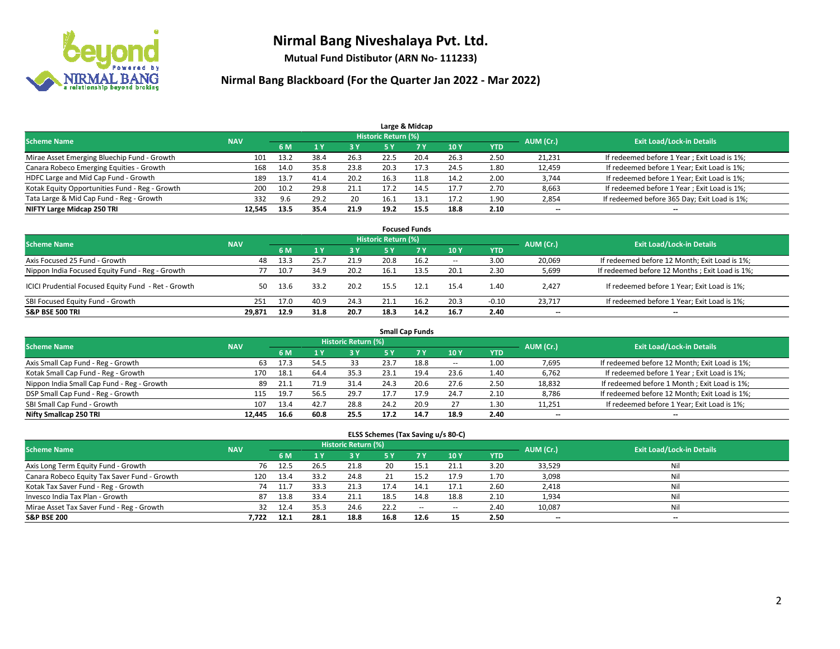

**Mutual Fund Distibutor (ARN No- 111233)**

| Large & Midcap                                 |            |      |      |      |                     |      |      |            |           |                                              |  |  |  |
|------------------------------------------------|------------|------|------|------|---------------------|------|------|------------|-----------|----------------------------------------------|--|--|--|
| <b>Scheme Name</b>                             | <b>NAV</b> |      |      |      | Historic Return (%) |      |      |            | AUM (Cr.) | <b>Exit Load/Lock-in Details</b>             |  |  |  |
|                                                |            | 6 M  |      | 3 Y  | 5 Y                 |      | 10Y  | <b>YTD</b> |           |                                              |  |  |  |
| Mirae Asset Emerging Bluechip Fund - Growth    | 101        | 13.2 | 38.4 | 26.3 | 22.5                | 20.4 | 26.3 | 2.50       | 21,231    | If redeemed before 1 Year; Exit Load is 1%;  |  |  |  |
| Canara Robeco Emerging Equities - Growth       | 168        | 14.0 | 35.8 | 23.8 | 20.3                | 17.3 | 24.5 | 1.80       | 12,459    | If redeemed before 1 Year; Exit Load is 1%;  |  |  |  |
| HDFC Large and Mid Cap Fund - Growth           | 189        | 13.7 | 41.4 | 20.2 | 16.3                | 11.8 | 14.2 | 2.00       | 3,744     | If redeemed before 1 Year; Exit Load is 1%;  |  |  |  |
| Kotak Equity Opportunities Fund - Reg - Growth | 200        | 10.2 | 29.8 | 21.1 | 17.2                | 14.5 | 17.7 | 2.70       | 8,663     | If redeemed before 1 Year; Exit Load is 1%;  |  |  |  |
| Tata Large & Mid Cap Fund - Reg - Growth       | 332        | 9.6  | 29.2 | 20   | 16.1                | 13.1 | 17.2 | 1.90       | 2,854     | If redeemed before 365 Day; Exit Load is 1%; |  |  |  |
| NIFTY Large Midcap 250 TRI                     | 12.545     | 13.5 | 35.4 | 21.9 | 19.2                | 15.5 | 18.8 | 2.10       | $- -$     | $- -$                                        |  |  |  |

| <b>Focused Funds</b>                                |                                                         |      |      |      |      |           |        |            |           |                                                |  |  |  |  |  |
|-----------------------------------------------------|---------------------------------------------------------|------|------|------|------|-----------|--------|------------|-----------|------------------------------------------------|--|--|--|--|--|
|                                                     | Historic Return (%)<br><b>Scheme Name</b><br><b>NAV</b> |      |      |      |      |           |        |            |           |                                                |  |  |  |  |  |
|                                                     |                                                         | 6 M  | 1Y   | 3 Y  | 5 Y  | <b>7Y</b> | 10Y    | <b>YTD</b> | AUM (Cr.) | <b>Exit Load/Lock-in Details</b>               |  |  |  |  |  |
| Axis Focused 25 Fund - Growth                       | 48                                                      | 13.3 | 25.7 | 21.9 | 20.8 | 16.2      | $\sim$ | 3.00       | 20,069    | If redeemed before 12 Month; Exit Load is 1%;  |  |  |  |  |  |
| Nippon India Focused Equity Fund - Reg - Growth     |                                                         | 10.7 | 34.9 | 20.2 | 16.1 | 13.5      | 20.1   | 2.30       | 5,699     | If redeemed before 12 Months; Exit Load is 1%; |  |  |  |  |  |
| ICICI Prudential Focused Equity Fund - Ret - Growth | 50.                                                     | 13.6 | 33.2 | 20.2 | 15.5 | 12.1      | 15.4   | 1.40       | 2,427     | If redeemed before 1 Year; Exit Load is 1%;    |  |  |  |  |  |
| SBI Focused Equity Fund - Growth                    | 251                                                     | 17.0 | 40.9 | 24.3 |      | 16.2      | 20.3   | $-0.10$    | 23.717    | If redeemed before 1 Year; Exit Load is 1%;    |  |  |  |  |  |
| <b>S&amp;P BSE 500 TRI</b>                          | 29,871                                                  | 12.9 | 31.8 | 20.7 | 18.3 | 14.2      | 16.7   | 2.40       | $- -$     | $-$                                            |  |  |  |  |  |

| <b>Small Cap Funds</b>                     |            |                                  |      |      |      |      |        |            |        |                                               |  |  |  |
|--------------------------------------------|------------|----------------------------------|------|------|------|------|--------|------------|--------|-----------------------------------------------|--|--|--|
| <b>Scheme Name</b>                         | AUM (Cr.)  | <b>Exit Load/Lock-in Details</b> |      |      |      |      |        |            |        |                                               |  |  |  |
|                                            | <b>NAV</b> | 6 M                              |      | 3 Y  | 5 Y  |      | 10Y    | <b>YTD</b> |        |                                               |  |  |  |
| Axis Small Cap Fund - Reg - Growth         | 63         | 17.3                             | 54.5 | 33   | 23.7 | 18.8 | $\sim$ | 1.00       | 7,695  | If redeemed before 12 Month; Exit Load is 1%; |  |  |  |
| Kotak Small Cap Fund - Reg - Growth        | 170        | 18.1                             | 64.4 | 35.3 | 23.1 | 19.4 | 23.6   | 1.40       | 6,762  | If redeemed before 1 Year; Exit Load is 1%;   |  |  |  |
| Nippon India Small Cap Fund - Reg - Growth | 89         | 21.1                             | 71.9 | 31.4 | 24.3 | 20.6 | 27.6   | 2.50       | 18,832 | If redeemed before 1 Month; Exit Load is 1%;  |  |  |  |
| DSP Small Cap Fund - Reg - Growth          | 115        | 19.7                             | 56.5 | 29.7 | 17.7 | 17.9 | 24.7   | 2.10       | 8,786  | If redeemed before 12 Month; Exit Load is 1%; |  |  |  |
| SBI Small Cap Fund - Growth                | 107        | 13.4                             | 42.7 | 28.8 | 24.2 | 20.9 | 27     | 1.30       | 11,251 | If redeemed before 1 Year; Exit Load is 1%;   |  |  |  |
| Nifty Smallcap 250 TRI                     | 12.445     | 16.6                             | 60.8 | 25.5 | 17.2 | 14.7 | 18.9   | 2.40       | $- -$  | $- -$                                         |  |  |  |

| ELSS Schemes (Tax Saving u/s 80-C)           |            |      |      |                            |      |           |        |            |                          |                                  |  |  |  |
|----------------------------------------------|------------|------|------|----------------------------|------|-----------|--------|------------|--------------------------|----------------------------------|--|--|--|
| <b>Scheme Name</b>                           | <b>NAV</b> |      |      | <b>Historic Return (%)</b> |      |           |        |            | AUM (Cr.)                | <b>Exit Load/Lock-in Details</b> |  |  |  |
|                                              |            | 6 M  |      | 3 Y                        | 5 Y  | <b>7Y</b> | 10Y    | <b>YTD</b> |                          |                                  |  |  |  |
| Axis Long Term Equity Fund - Growth          | 76         | 12.5 | 26.5 | 21.8                       | 20   | 15.1      | 21.1   | 3.20       | 33,529                   | Nil                              |  |  |  |
| Canara Robeco Equity Tax Saver Fund - Growth | 120        | 13.4 | 33.2 | 24.8                       | 21   | 15.2      | 17.9   | 1.70       | 3,098                    | Nil                              |  |  |  |
| Kotak Tax Saver Fund - Reg - Growth          | 74         | 11.7 | 33.3 | 21.3                       | 17.4 | 14.1      | 17.1   | 2.60       | 2,418                    | Nil                              |  |  |  |
| Invesco India Tax Plan - Growth              | 87         | 13.8 | 33.4 | 21.1                       | 18.5 | 14.8      | 18.8   | 2.10       | 1,934                    | Nil                              |  |  |  |
| Mirae Asset Tax Saver Fund - Reg - Growth    | 32         | 12.4 | 35.3 | 24.6                       | 22.2 | $\sim$    | $\sim$ | 2.40       | 10,087                   | Nil                              |  |  |  |
| <b>S&amp;P BSE 200</b>                       | 7.722      | 12.1 | 28.1 | 18.8                       | 16.8 | 12.6      | 15     | 2.50       | $\overline{\phantom{a}}$ | $- -$                            |  |  |  |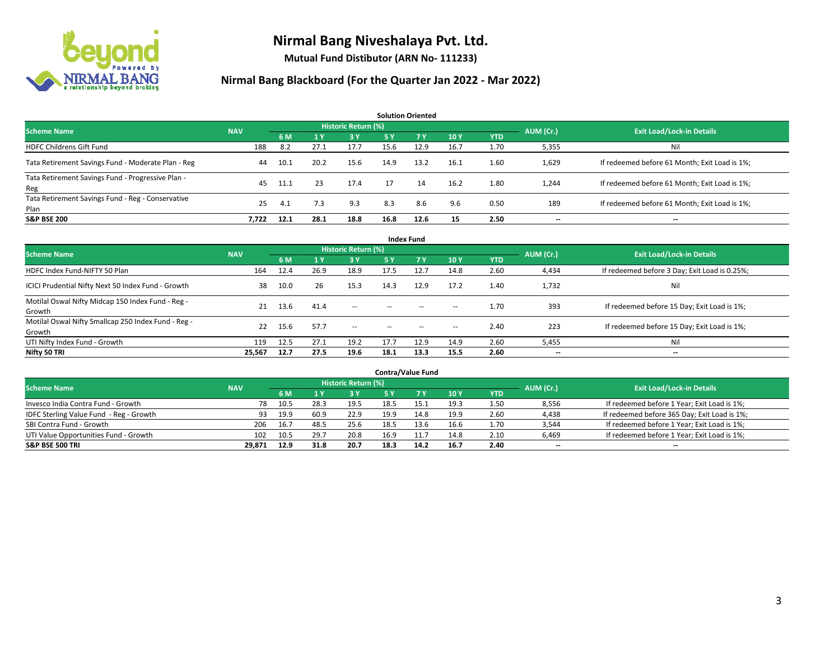

**Mutual Fund Distibutor (ARN No- 111233)**

| <b>Solution Oriented</b>                                  |            |      |      |                     |           |      |      |            |           |                                               |  |  |  |
|-----------------------------------------------------------|------------|------|------|---------------------|-----------|------|------|------------|-----------|-----------------------------------------------|--|--|--|
| <b>Scheme Name</b>                                        | <b>NAV</b> |      |      | Historic Return (%) |           |      |      |            | AUM (Cr.) | <b>Exit Load/Lock-in Details</b>              |  |  |  |
|                                                           |            | 6 M  | 1Y   | <b>3Y</b>           | <b>5Y</b> | 7 Y  | 10Y  | <b>YTD</b> |           |                                               |  |  |  |
| <b>HDFC Childrens Gift Fund</b>                           | 188        | 8.2  | 27.1 | 17.7                | 15.6      | 12.9 | 16.7 | 1.70       | 5,355     | Nil                                           |  |  |  |
| Tata Retirement Savings Fund - Moderate Plan - Reg        | 44         | 10.1 | 20.2 | 15.6                | 14.9      | 13.2 | 16.1 | 1.60       | 1,629     | If redeemed before 61 Month; Exit Load is 1%; |  |  |  |
| Tata Retirement Savings Fund - Progressive Plan -<br>Reg  | 45         | 11.1 | 23   | 17.4                | 17        | 14   | 16.2 | 1.80       | 1,244     | If redeemed before 61 Month; Exit Load is 1%; |  |  |  |
| Tata Retirement Savings Fund - Reg - Conservative<br>Plan | 25         | 4.1  | 7.3  | 9.3                 | 8.3       | 8.6  | 9.6  | 0.50       | 189       | If redeemed before 61 Month; Exit Load is 1%; |  |  |  |
| <b>S&amp;P BSE 200</b>                                    | 7.722      | 12.1 | 28.1 | 18.8                | 16.8      | 12.6 | 15   | 2.50       |           | --                                            |  |  |  |

| <b>Index Fund</b>                                             |            |      |                |                     |        |                                                |                          |            |           |                                               |  |  |  |
|---------------------------------------------------------------|------------|------|----------------|---------------------|--------|------------------------------------------------|--------------------------|------------|-----------|-----------------------------------------------|--|--|--|
| <b>Scheme Name</b>                                            | <b>NAV</b> |      |                | Historic Return (%) |        |                                                |                          |            | AUM (Cr.) | <b>Exit Load/Lock-in Details</b>              |  |  |  |
|                                                               |            | 6 M  | 1 <sub>V</sub> | 73 Y                | 5 Y    | 7 <sub>V</sub>                                 | <b>10Y</b>               | <b>YTD</b> |           |                                               |  |  |  |
| HDFC Index Fund-NIFTY 50 Plan                                 | 164        | 12.4 | 26.9           | 18.9                | 17.5   | 12.7                                           | 14.8                     | 2.60       | 4,434     | If redeemed before 3 Day; Exit Load is 0.25%; |  |  |  |
| ICICI Prudential Nifty Next 50 Index Fund - Growth            | 38         | 10.0 | 26             | 15.3                | 14.3   | 12.9                                           | 17.2                     | 1.40       | 1,732     | Nil                                           |  |  |  |
| Motilal Oswal Nifty Midcap 150 Index Fund - Reg -<br>Growth   | 21         | 13.6 | 41.4           | $\sim$              | $\sim$ | $\sim$                                         | $\hspace{0.05cm}$        | 1.70       | 393       | If redeemed before 15 Day; Exit Load is 1%;   |  |  |  |
| Motilal Oswal Nifty Smallcap 250 Index Fund - Reg -<br>Growth | 22         | 15.6 | 57.7           | $\sim$              | $\sim$ | $\hspace{0.1mm}-\hspace{0.1mm}-\hspace{0.1mm}$ | $\hspace{0.05cm} \cdots$ | 2.40       | 223       | If redeemed before 15 Day; Exit Load is 1%;   |  |  |  |
| UTI Nifty Index Fund - Growth                                 | 119        | 12.5 | 27.1           | 19.2                | 17.7   | 12.9                                           | 14.9                     | 2.60       | 5,455     | Nil                                           |  |  |  |
| Nifty 50 TRI                                                  | 25,567     | 12.7 | 27.5           | 19.6                | 18.1   | 13.3                                           | 15.5                     | 2.60       | $- -$     | $\overline{\phantom{a}}$                      |  |  |  |

| <b>Contra/Value Fund</b>                |            |      |      |                     |      |      |      |      |                          |                                              |  |  |  |
|-----------------------------------------|------------|------|------|---------------------|------|------|------|------|--------------------------|----------------------------------------------|--|--|--|
| <b>Scheme Name</b>                      | <b>NAV</b> |      |      | Historic Return (%) |      |      |      |      | AUM (Cr.)                | <b>Exit Load/Lock-in Details</b>             |  |  |  |
|                                         |            | 6 M  |      | 3 Y                 |      |      | 10Y  | YTD  |                          |                                              |  |  |  |
| Invesco India Contra Fund - Growth      | 78         | 10.5 | 28.3 | 19.5                | 18.5 |      | 19.3 | 1.50 | 8,556                    | If redeemed before 1 Year; Exit Load is 1%;  |  |  |  |
| IDFC Sterling Value Fund - Reg - Growth | 93         | 19.9 | 60.9 | 22.9                | 19.9 | 14.8 | 19.9 | 2.60 | 4,438                    | If redeemed before 365 Day; Exit Load is 1%; |  |  |  |
| SBI Contra Fund - Growth                | 206        | 16.7 | 48.5 | 25.6                | 18.5 | 13.6 | 16.6 | 1.70 | 3,544                    | If redeemed before 1 Year; Exit Load is 1%;  |  |  |  |
| UTI Value Opportunities Fund - Growth   | 102        | 10.5 | 29.7 | 20.8                | 16.9 |      | 14.8 | 2.10 | 6,469                    | If redeemed before 1 Year; Exit Load is 1%;  |  |  |  |
| <b>S&amp;P BSE 500 TRI</b>              | 29,871     | 12.9 | 31.8 | 20.7                | 18.3 | 14.2 | 16.7 | 2.40 | $\overline{\phantom{a}}$ | $- -$                                        |  |  |  |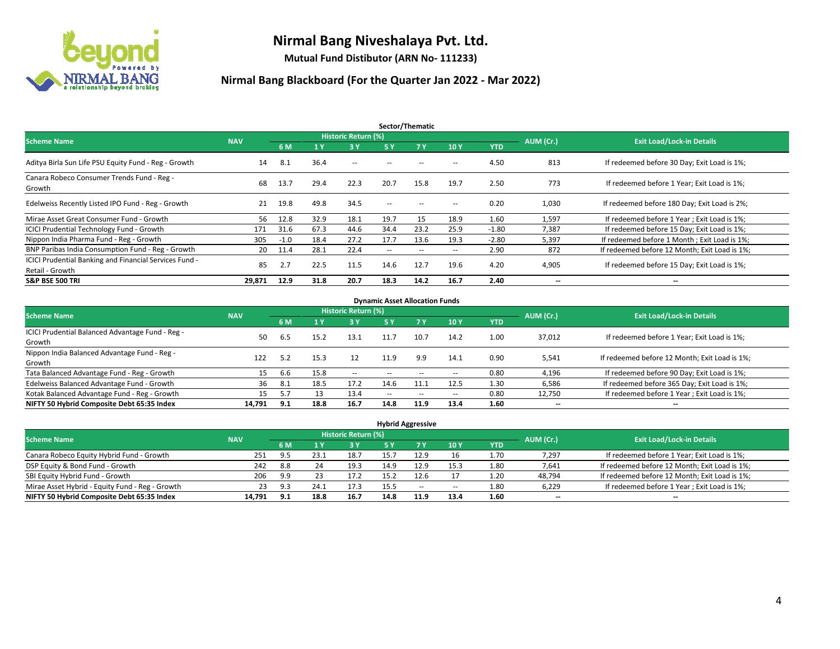

**Mutual Fund Distibutor (ARN No- 111233)**

| Sector/Thematic                                                           |            |        |      |                     |                          |        |       |            |                          |                                               |  |  |
|---------------------------------------------------------------------------|------------|--------|------|---------------------|--------------------------|--------|-------|------------|--------------------------|-----------------------------------------------|--|--|
| <b>Scheme Name</b>                                                        | <b>NAV</b> |        |      | Historic Return (%) |                          |        |       |            | AUM (Cr.)                | <b>Exit Load/Lock-in Details</b>              |  |  |
|                                                                           |            | 6 M    | 1Y   | 3Y                  | 5 Y                      | 7Y     | 10Y   | <b>YTD</b> |                          |                                               |  |  |
| Aditya Birla Sun Life PSU Equity Fund - Reg - Growth                      | 14         | 8.1    | 36.4 | $\sim$ $-$          |                          |        | -     | 4.50       | 813                      | If redeemed before 30 Day; Exit Load is 1%;   |  |  |
| Canara Robeco Consumer Trends Fund - Reg -<br>Growth                      | 68         | 13.7   | 29.4 | 22.3                | 20.7                     | 15.8   | 19.7  | 2.50       | 773                      | If redeemed before 1 Year: Exit Load is 1%:   |  |  |
| Edelweiss Recently Listed IPO Fund - Reg - Growth                         | 21         | 19.8   | 49.8 | 34.5                | $\overline{\phantom{a}}$ |        | --    | 0.20       | 1,030                    | If redeemed before 180 Day; Exit Load is 2%;  |  |  |
| Mirae Asset Great Consumer Fund - Growth                                  | 56         | 12.8   | 32.9 | 18.1                | 19.7                     | 15     | 18.9  | 1.60       | 1,597                    | If redeemed before 1 Year; Exit Load is 1%;   |  |  |
| <b>ICICI Prudential Technology Fund - Growth</b>                          | 171        | 31.6   | 67.3 | 44.6                | 34.4                     | 23.2   | 25.9  | $-1.80$    | 7,387                    | If redeemed before 15 Day; Exit Load is 1%;   |  |  |
| Nippon India Pharma Fund - Reg - Growth                                   | 305        | $-1.0$ | 18.4 | 27.2                | 17.7                     | 13.6   | 19.3  | $-2.80$    | 5,397                    | If redeemed before 1 Month; Exit Load is 1%;  |  |  |
| BNP Paribas India Consumption Fund - Reg - Growth                         | 20         | 11.4   | 28.1 | 22.4                | $\overline{\phantom{a}}$ | $\sim$ | $\!-$ | 2.90       | 872                      | If redeemed before 12 Month; Exit Load is 1%; |  |  |
| ICICI Prudential Banking and Financial Services Fund -<br>Retail - Growth | 85         | 2.7    | 22.5 | 11.5                | 14.6                     | 12.7   | 19.6  | 4.20       | 4,905                    | If redeemed before 15 Day; Exit Load is 1%;   |  |  |
| <b>S&amp;P BSE 500 TRI</b>                                                | 29,871     | 12.9   | 31.8 | 20.7                | 18.3                     | 14.2   | 16.7  | 2.40       | $\overline{\phantom{a}}$ | $\overline{\phantom{a}}$                      |  |  |

| <b>Dynamic Asset Allocation Funds</b>            |            |      |      |                     |                          |                |                          |            |           |                                               |  |  |  |
|--------------------------------------------------|------------|------|------|---------------------|--------------------------|----------------|--------------------------|------------|-----------|-----------------------------------------------|--|--|--|
| <b>Scheme Name</b>                               | <b>NAV</b> |      |      | Historic Return (%) |                          |                |                          |            | AUM (Cr.) | <b>Exit Load/Lock-in Details</b>              |  |  |  |
|                                                  |            | 6 M  |      | $-3V$               | <b>5 Y</b>               | 7 <sub>V</sub> | 10Y                      | <b>YTD</b> |           |                                               |  |  |  |
| ICICI Prudential Balanced Advantage Fund - Reg - | 50         |      |      | 13.1                |                          | 10.7           | 14.2                     |            |           |                                               |  |  |  |
| Growth                                           |            | 6.5  | 15.2 |                     | 11.7                     |                |                          | 1.00       | 37,012    | If redeemed before 1 Year; Exit Load is 1%;   |  |  |  |
| Nippon India Balanced Advantage Fund - Reg -     | 122        | 5.2  |      | 12                  |                          |                |                          | 0.90       |           |                                               |  |  |  |
| Growth                                           |            |      | 15.3 |                     | 11.9                     | 9.9            | 14.1                     |            | 5,541     | If redeemed before 12 Month; Exit Load is 1%; |  |  |  |
| Tata Balanced Advantage Fund - Reg - Growth      |            | 6.6  | 15.8 | $\sim$ $\sim$       | --                       |                | --                       | 0.80       | 4,196     | If redeemed before 90 Day; Exit Load is 1%;   |  |  |  |
| Edelweiss Balanced Advantage Fund - Growth       | 36         | -8.1 | 18.5 | 17.2                | 14.6                     | 11.1           | 12.5                     | 1.30       | 6,586     | If redeemed before 365 Day; Exit Load is 1%;  |  |  |  |
| Kotak Balanced Advantage Fund - Reg - Growth     | 15         | 5.7  |      | 13.4                | $\overline{\phantom{a}}$ | $\sim$         | $\overline{\phantom{a}}$ | 0.80       | 12,750    | If redeemed before 1 Year; Exit Load is 1%;   |  |  |  |
| NIFTY 50 Hybrid Composite Debt 65:35 Index       | 14.791     | 9.1  | 18.8 | 16.7                | 14.8                     | 11.9           | 13.4                     | 1.60       | $- -$     | $\overline{\phantom{a}}$                      |  |  |  |

| <b>Hybrid Aggressive</b>                        |            |     |      |                            |            |       |      |      |                          |                                               |  |  |  |  |
|-------------------------------------------------|------------|-----|------|----------------------------|------------|-------|------|------|--------------------------|-----------------------------------------------|--|--|--|--|
| <b>Scheme Name</b>                              | <b>NAV</b> |     |      | <b>Historic Return (%)</b> |            |       |      |      | AUM (Cr.)                | <b>Exit Load/Lock-in Details</b>              |  |  |  |  |
|                                                 |            | 6 M |      | <b>3Y</b>                  | <b>5 Y</b> |       | 10Y  | YTD  |                          |                                               |  |  |  |  |
| Canara Robeco Equity Hybrid Fund - Growth       | 251        | 9.5 | 23.1 | 18.7                       | 15.1       | 12.9  | 16   | 1.70 | 7.297                    | If redeemed before 1 Year; Exit Load is 1%;   |  |  |  |  |
| DSP Equity & Bond Fund - Growth                 | 242        | 8.8 | 24   | 19.3                       | 14.9       | 12.9  | 15.3 | 1.80 | 7,641                    | If redeemed before 12 Month; Exit Load is 1%; |  |  |  |  |
| SBI Equity Hybrid Fund - Growth                 | 206        | 9.9 | 23   | 17.2                       | 15.2       | 12.6  |      | 1.20 | 48,794                   | If redeemed before 12 Month; Exit Load is 1%; |  |  |  |  |
| Mirae Asset Hybrid - Equity Fund - Reg - Growth | 23         | 9.3 | 24.1 | 17.3                       | 15.5       | $- -$ | --   | 1.80 | 6,229                    | If redeemed before 1 Year; Exit Load is 1%;   |  |  |  |  |
| NIFTY 50 Hybrid Composite Debt 65:35 Index      | 14,791     | 9.1 | 18.8 | 16.7                       | 14.8       | 11.9  | 13.4 | 1.60 | $\overline{\phantom{a}}$ | $\overline{\phantom{a}}$                      |  |  |  |  |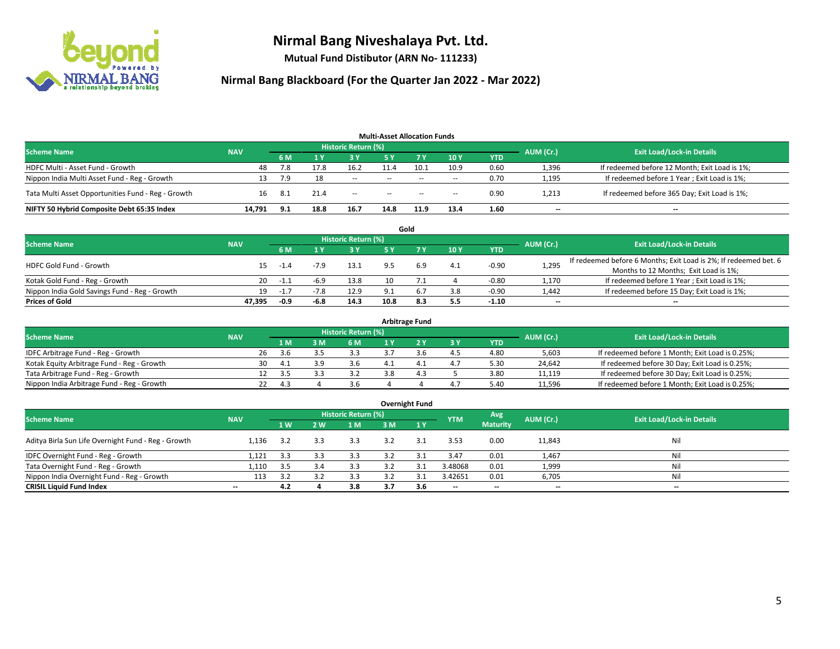

**Mutual Fund Distibutor (ARN No- 111233)**

| <b>Multi-Asset Allocation Funds</b>                |            |      |      |                     |                          |           |                          |            |           |                                               |  |  |  |
|----------------------------------------------------|------------|------|------|---------------------|--------------------------|-----------|--------------------------|------------|-----------|-----------------------------------------------|--|--|--|
| <b>Scheme Name</b>                                 | <b>NAV</b> |      |      | Historic Return (%) |                          |           |                          |            | AUM (Cr.) | <b>Exit Load/Lock-in Details</b>              |  |  |  |
|                                                    |            | 6 M  |      | <b>3 Y</b>          | 5 Y                      | <b>7Y</b> | 10Y                      | <b>YTD</b> |           |                                               |  |  |  |
| HDFC Multi - Asset Fund - Growth                   | 48         | 7.8  | 17.8 | 16.2                | 11.4                     | 10.1      | 10.9                     | 0.60       | 1,396     | If redeemed before 12 Month; Exit Load is 1%; |  |  |  |
| Nippon India Multi Asset Fund - Reg - Growth       | 13         | 7.9  | 18   | $\sim$              | $\overline{\phantom{a}}$ | $\sim$    | $\overline{\phantom{a}}$ | 0.70       | 1,195     | If redeemed before 1 Year; Exit Load is 1%;   |  |  |  |
| Tata Multi Asset Opportunities Fund - Reg - Growth | 16         | -8.1 | 21.4 | $- -$               | $\overline{\phantom{a}}$ | $-$       | $- -$                    | 0.90       | 1,213     | If redeemed before 365 Day; Exit Load is 1%;  |  |  |  |
| NIFTY 50 Hybrid Composite Debt 65:35 Index         | 14.791     | 9.1  | 18.8 | 16.7                | 14.8                     | 11.9      | 13.4                     | 1.60       | --        | --                                            |  |  |  |

|                                               |            |        |           |                                  |      | Gold |     |         |                          |                                                                  |
|-----------------------------------------------|------------|--------|-----------|----------------------------------|------|------|-----|---------|--------------------------|------------------------------------------------------------------|
| <b>Scheme Name</b>                            | <b>NAV</b> |        | AUM (Cr.) | <b>Exit Load/Lock-in Details</b> |      |      |     |         |                          |                                                                  |
|                                               |            | 6 M    |           | 3 Y                              | 5 V  |      | 10Y | YTD     |                          |                                                                  |
| <b>HDFC Gold Fund - Growth</b>                | 15         | $-1.4$ |           | 13.1                             |      | 6.9  | 4.1 | $-0.90$ | 1,295                    | If redeemed before 6 Months; Exit Load is 2%; If redeemed bet. 6 |
|                                               |            |        |           |                                  |      |      |     |         |                          | Months to 12 Months; Exit Load is 1%;                            |
| Kotak Gold Fund - Reg - Growth                | 20         | -1.1   |           | 13.8                             |      |      |     | $-0.80$ | 1,170                    | If redeemed before 1 Year; Exit Load is 1%;                      |
| Nippon India Gold Savings Fund - Reg - Growth | 19         | $-1.7$ | $-7.8$    | 12.9                             |      |      | 3.8 | $-0.90$ | 1,442                    | If redeemed before 15 Day; Exit Load is 1%;                      |
| <b>Prices of Gold</b>                         | 47.395     | -0.9   | $-6.8$    | 14.3                             | 10.8 | 8.3  | 5.5 | $-1.10$ | $\overline{\phantom{a}}$ | --                                                               |

| <b>Arbitrage Fund</b>                      |            |                                  |      |     |     |     |  |     |            |        |                                                 |  |  |  |
|--------------------------------------------|------------|----------------------------------|------|-----|-----|-----|--|-----|------------|--------|-------------------------------------------------|--|--|--|
| <b>Scheme Name</b>                         | AUM (Cr.)  | <b>Exit Load/Lock-in Details</b> |      |     |     |     |  |     |            |        |                                                 |  |  |  |
|                                            | <b>NAV</b> |                                  | 1 M  | : M | 6 M |     |  | 3 Y | <b>YTD</b> |        |                                                 |  |  |  |
| IDFC Arbitrage Fund - Reg - Growth         |            | 26                               | .3.b |     | 3.3 |     |  | 4.5 | 4.80       | 5,603  | If redeemed before 1 Month; Exit Load is 0.25%; |  |  |  |
| Kotak Equity Arbitrage Fund - Reg - Growth |            | 30                               | 4.1  |     | 3.b |     |  | 4.7 | 5.30       | 24.642 | If redeemed before 30 Day; Exit Load is 0.25%;  |  |  |  |
| Tata Arbitrage Fund - Reg - Growth         |            |                                  | -3.5 |     | 3.2 | 3.8 |  |     | 3.80       | 11.119 | If redeemed before 30 Day; Exit Load is 0.25%;  |  |  |  |
| Nippon India Arbitrage Fund - Reg - Growth |            |                                  | 4.3  |     | 3.6 |     |  | 4.7 | 5.40       | 11,596 | If redeemed before 1 Month; Exit Load is 0.25%; |  |  |  |

| <b>Overnight Fund</b>                               |                          |           |     |                            |     |              |            |                 |                          |                                  |  |  |  |  |
|-----------------------------------------------------|--------------------------|-----------|-----|----------------------------|-----|--------------|------------|-----------------|--------------------------|----------------------------------|--|--|--|--|
| <b>Scheme Name</b>                                  | <b>NAV</b>               |           |     | <b>Historic Return (%)</b> |     |              | <b>YTM</b> | Avg             | AUM (Cr.)                | <b>Exit Load/Lock-in Details</b> |  |  |  |  |
|                                                     |                          | <b>1W</b> | 2 W | 1 M                        | 3 M | 1Y           |            | <b>Maturity</b> |                          |                                  |  |  |  |  |
| Aditya Birla Sun Life Overnight Fund - Reg - Growth | 1.136                    | 3.2       | 3.3 | 3.3                        | 3.2 | 3.1          | 3.53       | 0.00            | 11,843                   | Nil                              |  |  |  |  |
| IDFC Overnight Fund - Reg - Growth                  | 1,121                    | 3.3       | 3.3 | 3.3                        | 3.2 | ় '          | 3.47       | 0.01            | 1,467                    | Nil                              |  |  |  |  |
| Tata Overnight Fund - Reg - Growth                  | 1,110                    | 3.5       | 3.4 | 3.3                        | 3.2 | $\mathbf{a}$ | 3.48068    | 0.01            | 1,999                    | Nil                              |  |  |  |  |
| Nippon India Overnight Fund - Reg - Growth          | 113                      | 3.2       |     | 3.3                        | 3.2 |              | 3.42651    | 0.01            | 6,705                    | Nil                              |  |  |  |  |
| <b>CRISIL Liquid Fund Index</b>                     | $\overline{\phantom{a}}$ | 4.2       |     | 3.8                        | 3.7 | 3.6          | $- -$      | $- -$           | $\overline{\phantom{a}}$ | $-$                              |  |  |  |  |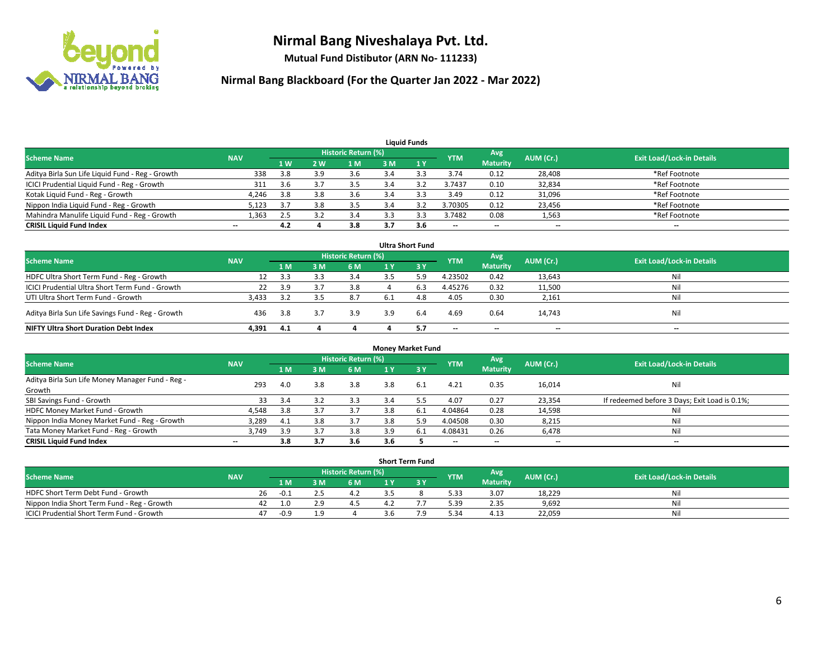

**Mutual Fund Distibutor (ARN No- 111233)**

| <b>Liquid Funds</b>                              |                          |                |     |                            |     |     |                          |                          |           |                                  |  |  |  |
|--------------------------------------------------|--------------------------|----------------|-----|----------------------------|-----|-----|--------------------------|--------------------------|-----------|----------------------------------|--|--|--|
| <b>Scheme Name</b>                               | <b>NAV</b>               |                |     | <b>Historic Return (%)</b> |     |     | <b>YTM</b>               | Avg                      | AUM (Cr.) | <b>Exit Load/Lock-in Details</b> |  |  |  |
|                                                  |                          | 1 <sub>W</sub> | 2 W | 1 M                        | 3 M |     |                          | <b>Maturity</b>          |           |                                  |  |  |  |
| Aditya Birla Sun Life Liquid Fund - Reg - Growth | 338                      | 3.8            |     | 3.6                        |     |     | 3.74                     | 0.12                     | 28,408    | *Ref Footnote                    |  |  |  |
| ICICI Prudential Liquid Fund - Reg - Growth      | 311                      | 3.6            |     | 3.5                        | 3.4 |     | 3.7437                   | 0.10                     | 32,834    | *Ref Footnote                    |  |  |  |
| Kotak Liquid Fund - Reg - Growth                 | 4,246                    | 3.8            | 3.8 | 3.6                        |     |     | 3.49                     | 0.12                     | 31,096    | *Ref Footnote                    |  |  |  |
| Nippon India Liquid Fund - Reg - Growth          | 5,123                    | 3.7            | 3.8 | 3.5                        |     |     | 3.70305                  | 0.12                     | 23,456    | *Ref Footnote                    |  |  |  |
| Mahindra Manulife Liquid Fund - Reg - Growth     | 1.363                    | 2.5            |     | 3.4                        |     |     | 3.7482                   | 0.08                     | 1,563     | *Ref Footnote                    |  |  |  |
| <b>CRISIL Liquid Fund Index</b>                  | $\overline{\phantom{a}}$ | 4.2            |     | 3.8                        | 3.7 | 3.6 | $\overline{\phantom{a}}$ | $\overline{\phantom{a}}$ | $- -$     | $- -$                            |  |  |  |

| <b>Ultra Short Fund</b>                           |            |     |     |                     |     |      |            |                          |           |                                  |  |  |  |
|---------------------------------------------------|------------|-----|-----|---------------------|-----|------|------------|--------------------------|-----------|----------------------------------|--|--|--|
| <b>Scheme Name</b>                                | <b>NAV</b> |     |     | Historic Return (%) |     |      | <b>YTM</b> | Avg                      | AUM (Cr.) | <b>Exit Load/Lock-in Details</b> |  |  |  |
|                                                   |            | 1 M | የ M | 6 M                 |     | -3 Y |            | <b>Maturity</b>          |           |                                  |  |  |  |
| HDFC Ultra Short Term Fund - Reg - Growth         |            | 3.3 |     | 3.4                 |     | 5.9  | 4.23502    | 0.42                     | 13,643    | Nil                              |  |  |  |
| ICICI Prudential Ultra Short Term Fund - Growth   | 22         | 3.9 |     | 3.8                 |     | 6.3  | 4.45276    | 0.32                     | 11,500    | Nil                              |  |  |  |
| UTI Ultra Short Term Fund - Growth                | 3.433      | 3.2 |     | 8.7                 | 6.1 | 4.8  | 4.05       | 0.30                     | 2,161     | Nil                              |  |  |  |
| Aditya Birla Sun Life Savings Fund - Reg - Growth | 436        | 3.8 |     | 3.9                 | 3.9 | 6.4  | 4.69       | 0.64                     | 14,743    | Nil                              |  |  |  |
| <b>NIFTY Ultra Short Duration Debt Index</b>      | 4,391      | 4.1 |     |                     |     |      | $- -$      | $\overline{\phantom{a}}$ | $- -$     | $- -$                            |  |  |  |

| <b>Money Market Fund</b>                         |            |       |     |                            |     |      |                          |                 |           |                                               |  |  |  |
|--------------------------------------------------|------------|-------|-----|----------------------------|-----|------|--------------------------|-----------------|-----------|-----------------------------------------------|--|--|--|
| <b>Scheme Name</b>                               | <b>NAV</b> |       |     | <b>Historic Return (%)</b> |     |      | <b>YTM</b>               | Avg             | AUM (Cr.) | <b>Exit Load/Lock-in Details</b>              |  |  |  |
|                                                  |            | 1 M / | 3M  | 6 M                        | 1 Y | 3Y   |                          | <b>Maturity</b> |           |                                               |  |  |  |
| Aditya Birla Sun Life Money Manager Fund - Reg - | 293        | 4.0   | 3.8 | 3.8                        | 3.8 | 6.1  | 4.21                     | 0.35            | 16,014    | Nil                                           |  |  |  |
| Growth                                           |            |       |     |                            |     |      |                          |                 |           |                                               |  |  |  |
| SBI Savings Fund - Growth                        | 33         | 3.4   |     | 3.3                        | 3.4 | .כ.כ | 4.07                     | 0.27            | 23,354    | If redeemed before 3 Days; Exit Load is 0.1%; |  |  |  |
| HDFC Money Market Fund - Growth                  | 4,548      | 3.8   |     | 3.7                        | 3.8 | 6.1  | 4.04864                  | 0.28            | 14,598    | Nil                                           |  |  |  |
| Nippon India Money Market Fund - Reg - Growth    | 3,289      | 4.1   |     | 3.7                        | 3.8 | 5.9  | 4.04508                  | 0.30            | 8,215     | Nil                                           |  |  |  |
| Tata Money Market Fund - Reg - Growth            | 3,749      | 3.9   | 3.7 | 3.8                        | 3.9 | 6.1  | 4.08431                  | 0.26            | 6,478     | Nil                                           |  |  |  |
| <b>CRISIL Liquid Fund Index</b>                  | $-$        | 3.8   | 3.7 | 3.6                        | 3.6 |      | $\overline{\phantom{a}}$ | --              | $- -$     | $- -$                                         |  |  |  |

| <b>Short Term Fund</b>                      |            |    |      |  |                     |     |  |            |                 |           |                                  |  |  |  |
|---------------------------------------------|------------|----|------|--|---------------------|-----|--|------------|-----------------|-----------|----------------------------------|--|--|--|
| <b>Scheme Name</b>                          | <b>NAV</b> |    |      |  | Historic Return (%) |     |  | <b>YTM</b> | Avg             | AUM (Cr.) | <b>Exit Load/Lock-in Details</b> |  |  |  |
|                                             |            |    | 1 M. |  | 6 M                 |     |  |            | <b>Maturity</b> |           |                                  |  |  |  |
| HDFC Short Term Debt Fund - Growth          |            | 26 | -0.1 |  | 4.Z                 |     |  | 5.33       | 3.07            | 18,229    | Nil                              |  |  |  |
| Nippon India Short Term Fund - Reg - Growth |            | 42 |      |  |                     |     |  | 5.39       | 2.35            | 9,692     | Nil                              |  |  |  |
| ICICI Prudential Short Term Fund - Growth   |            | 47 | -0.9 |  |                     | 3.b |  | 5.34       | 4.13            | 22.059    | Nil                              |  |  |  |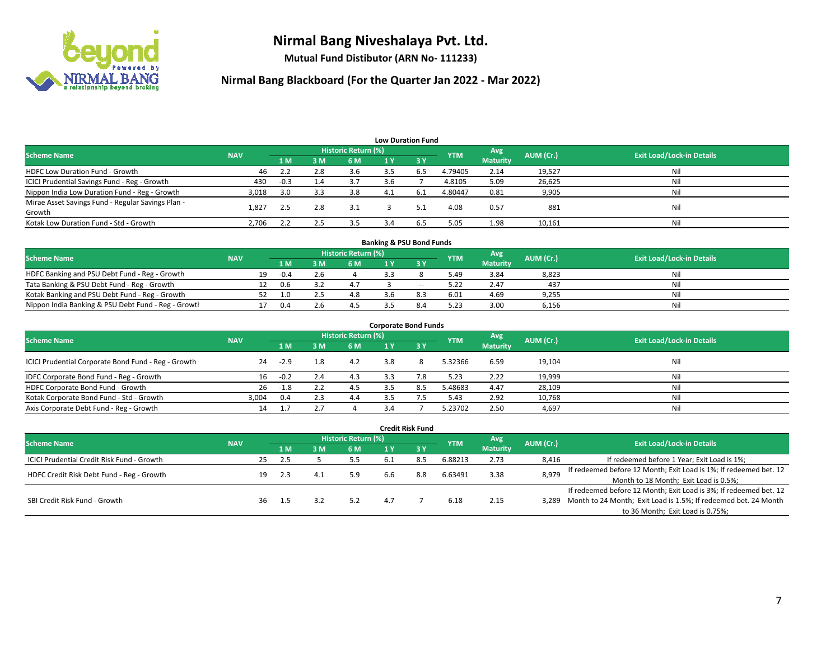

**Mutual Fund Distibutor (ARN No- 111233)**

| <b>Low Duration Fund</b>                          |            |        |     |                     |     |              |            |                 |           |                                  |  |  |  |
|---------------------------------------------------|------------|--------|-----|---------------------|-----|--------------|------------|-----------------|-----------|----------------------------------|--|--|--|
| <b>Scheme Name</b>                                | <b>NAV</b> |        |     | Historic Return (%) |     |              | <b>YTM</b> | Avg             | AUM (Cr.) | <b>Exit Load/Lock-in Details</b> |  |  |  |
|                                                   |            | 1 M    | 3M  | 6 M                 | 1 Y | $\sqrt{3}$ V |            | <b>Maturity</b> |           |                                  |  |  |  |
| <b>HDFC Low Duration Fund - Growth</b>            | 46         | 2.2    | 2.8 | 3.6                 | 3.5 | 6.5          | 4.79405    | 2.14            | 19,527    | Nil                              |  |  |  |
| ICICI Prudential Savings Fund - Reg - Growth      | 430        | $-0.3$ | 1.4 | 3.7                 | 3.6 |              | 4.8105     | 5.09            | 26,625    | Nil                              |  |  |  |
| Nippon India Low Duration Fund - Reg - Growth     | 3,018      | 3.0    | 3.3 | 3.8                 | 4.1 | -6.1         | 4.80447    | 0.81            | 9,905     | Nil                              |  |  |  |
| Mirae Asset Savings Fund - Regular Savings Plan - | 1,827      | 2.5    | 2.8 | 3.1                 |     | 5.1          | 4.08       | 0.57            | 881       | Nil                              |  |  |  |
| Growth                                            |            |        |     |                     |     |              |            |                 |           |                                  |  |  |  |
| Kotak Low Duration Fund - Std - Growth            | 2,706      | 2.2    | 2.5 | 3.5                 | ЗΛ. | 6.5          | 5.05       | 1.98            | 10,161    | Nil                              |  |  |  |

| <b>Banking &amp; PSU Bond Funds</b>                 |            |    |        |  |                     |     |        |            |                 |           |                                  |  |  |  |
|-----------------------------------------------------|------------|----|--------|--|---------------------|-----|--------|------------|-----------------|-----------|----------------------------------|--|--|--|
| <b>Scheme Name</b>                                  | <b>NAV</b> |    |        |  | Historic Return (%) |     |        | <b>YTM</b> | Avg             | AUM (Cr.) | <b>Exit Load/Lock-in Details</b> |  |  |  |
|                                                     |            |    | 1 M    |  | 6 M                 |     |        |            | <b>Maturity</b> |           |                                  |  |  |  |
| HDFC Banking and PSU Debt Fund - Reg - Growth       |            | 19 | $-0.4$ |  |                     |     |        | 5.49       | 3.84            | 8,823     | Nil                              |  |  |  |
| Tata Banking & PSU Debt Fund - Reg - Growth         |            |    | -0.6   |  | 4.1                 |     | $\sim$ | 5.22       | 2.47            | 437       | Nil                              |  |  |  |
| Kotak Banking and PSU Debt Fund - Reg - Growth      |            |    |        |  | 4.8                 | 3.6 |        | 6.01       | 4.69            | 9,255     | Nil                              |  |  |  |
| Nippon India Banking & PSU Debt Fund - Reg - Growth |            |    | 0.4    |  |                     |     |        | 5.23       | 3.00            | 6,156     | Nil                              |  |  |  |

| <b>Corporate Bond Funds</b>                         |            |        |     |                            |     |           |            |                        |           |                                  |  |
|-----------------------------------------------------|------------|--------|-----|----------------------------|-----|-----------|------------|------------------------|-----------|----------------------------------|--|
| <b>Scheme Name</b>                                  | <b>NAV</b> |        |     | <b>Historic Return (%)</b> |     |           | <b>YTM</b> | Avg<br><b>Maturity</b> | AUM (Cr.) | <b>Exit Load/Lock-in Details</b> |  |
|                                                     |            | 1 M    | 3 M | 6 M                        | 1 Y | <b>3Y</b> |            |                        |           |                                  |  |
| ICICI Prudential Corporate Bond Fund - Reg - Growth | 24         | $-2.9$ | 1.8 | 4.2                        | 3.8 |           | 5.32366    | 6.59                   | 19,104    | Nil                              |  |
| IDFC Corporate Bond Fund - Reg - Growth             | 16         | $-0.2$ | 2.4 | 4.3                        | 3.3 |           | 5.23       | 2.22                   | 19,999    | Nil                              |  |
| HDFC Corporate Bond Fund - Growth                   | 26         | $-1.8$ |     | 4.5                        |     | 8.5       | 5.48683    | 4.47                   | 28,109    | Nil                              |  |
| Kotak Corporate Bond Fund - Std - Growth            | 3.004      | 0.4    |     | 4.4                        | 3.5 |           | 5.43       | 2.92                   | 10,768    | Nil                              |  |
| Axis Corporate Debt Fund - Reg - Growth             | 14         |        |     |                            | 3.4 |           | 5.23702    | 2.50                   | 4,697     | Nil                              |  |

|                                                   |            |    |     |                            |     |     | <b>Credit Risk Fund</b> |            |                 |           |                                                                       |
|---------------------------------------------------|------------|----|-----|----------------------------|-----|-----|-------------------------|------------|-----------------|-----------|-----------------------------------------------------------------------|
| <b>Scheme Name</b>                                | <b>NAV</b> |    |     | <b>Historic Return (%)</b> |     |     |                         | <b>YTM</b> | Avg             | AUM (Cr.) | <b>Exit Load/Lock-in Details</b>                                      |
|                                                   |            |    | 1 M | 3 M                        | 6 M | 1 Y | $\sqrt{3}$ Y            |            | <b>Maturity</b> |           |                                                                       |
| <b>ICICI Prudential Credit Risk Fund - Growth</b> |            | 25 | 2.5 |                            | 5.5 | 6.1 | 8.5                     | 6.88213    | 2.73            | 8,416     | If redeemed before 1 Year; Exit Load is 1%;                           |
| HDFC Credit Risk Debt Fund - Reg - Growth         |            | 19 | 2.3 | 4.1                        | 5.9 |     | 8.8                     | 6.63491    | 3.38            | 8,979     | If redeemed before 12 Month; Exit Load is 1%; If redeemed bet. 12     |
|                                                   |            |    |     |                            |     | 6.6 |                         |            |                 |           | Month to 18 Month; Exit Load is 0.5%;                                 |
| SBI Credit Risk Fund - Growth                     |            |    |     |                            |     |     |                         |            |                 |           | If redeemed before 12 Month; Exit Load is 3%; If redeemed bet. 12     |
|                                                   |            | 36 |     |                            | 5.2 | 4.7 |                         | 6.18       | 2.15            |           | 3,289 Month to 24 Month; Exit Load is 1.5%; If redeemed bet. 24 Month |
|                                                   |            |    |     |                            |     |     |                         |            |                 |           | to 36 Month; Exit Load is 0.75%;                                      |